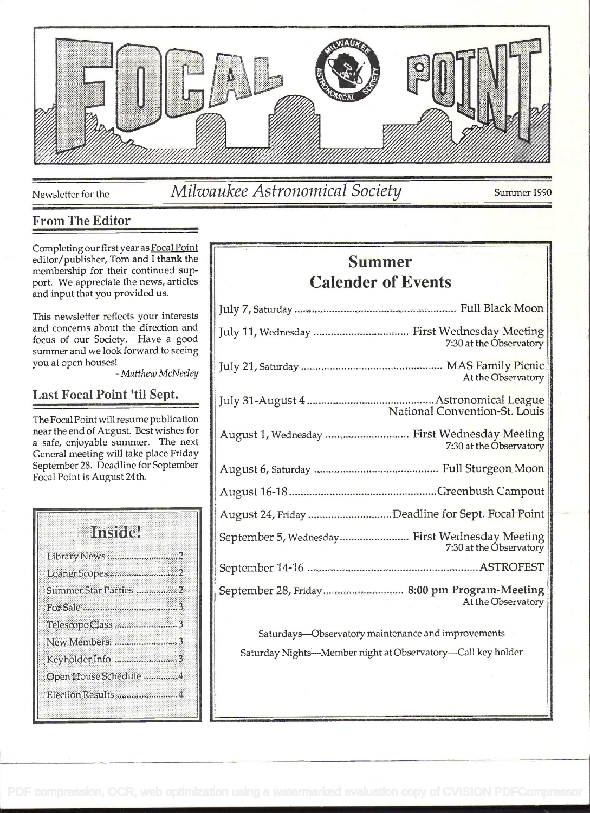

Newsletter for the

# Milwaukee Astronomical Society

Summer 1990

# **From The Editor**

Completing our first year as Focal Point editor/publisher, Tom and I thank the membership for their continued support. We appreciate the news, articles and input that you provided us.

This newsletter reflects your interests and concerns about the direction and focus of our Society. Have a good summer and we look forward to seeing you at open houses!

- Matthew McNeeley

### Last Focal Point 'til Sept.

The Focal Point will resume publication near the end of August. Best wishes for a safe, enjoyable summer. The next General meeting will take place Friday September 28. Deadline for September Focal Point is August 24th.

| <b>Instrict</b>       |  |  |
|-----------------------|--|--|
| Library News2         |  |  |
| Loaner Scopes2        |  |  |
| Summer Star Parties 2 |  |  |
|                       |  |  |
| Telescope Class 3     |  |  |
| New Members. 3        |  |  |
| Keyholder Info 3      |  |  |
| Open House Schedule 4 |  |  |
| Election Results 4    |  |  |

# **Summer Calender of Events**

| July 11, Wednesday  First Wednesday Meeting<br>7:30 at the Observatory    |
|---------------------------------------------------------------------------|
| At the Observatory                                                        |
| <b>National Convention-St. Louis</b>                                      |
| August 1, Wednesday  First Wednesday Meeting<br>7:30 at the Observatory   |
|                                                                           |
|                                                                           |
|                                                                           |
| August 24, Friday Deadline for Sept. Focal Point                          |
| September 5, Wednesday First Wednesday Meeting<br>7:30 at the Observatory |
|                                                                           |

Saturdays-Observatory maintenance and improvements Saturday Nights-Member night at Observatory-Call key holder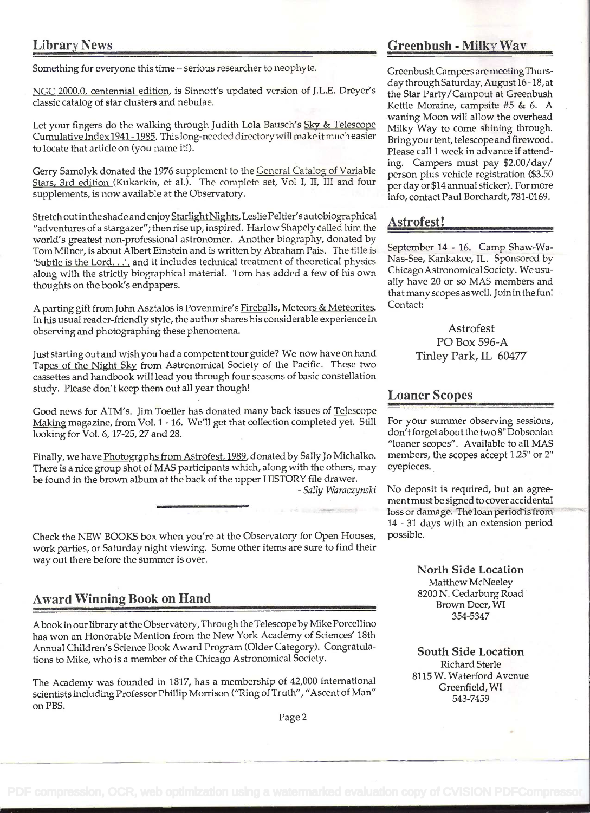Something for everyone this time - serious researcher to neophyte. Greenbush Campers are meeting Thurs-

NGC 2000.0, centennial edition, is Sinnott's updated version of J.L.E. Dreyer's classic catalog of star clusters and nebulae. Kettle Moraine, campsite #5 & 6. A

Let your fingers do the walking through Judith Lola Bausch's Sky & Telescope<br>Cumulative Index 1941 - 1985. This long-needed directory will make it much easier Bring your tent, telescope and firewood. to locate that article on (you name it!). The second is a property of the please call 1 week in advance if attend-

Gerry Samolyk donated the 1976 supplement to the General Catalog of Variable<br>Stars, 3rd edition (Kukarkin, et al.). The complete set, Vol I, II, III and four person plus vehicle registration (\$3.50 supplements, is now available at the Observatory. info, contact Paul Borchardt, 781-0169.

Stretch out in the shade and enjoy Starlight Nights, Leslie Peltier's autobiographical <br>"adventures of a stargazer"; then rise up, inspired. Harlow Shapely called him the **Astrofest!** world's greatest non-professional astronomer. Another biography, donated by<br>Tom Milner, is about Albert Einstein and is written by Abraham Pais. The title is September 14 - 16. Camp Shaw-Wa-Tom Milner, is about Albert Einstein and is written by Abraham Pais. The title is September 14 - 16. Camp Shaw-Wa-<br>Subtle is the Lord Land it includes technical treatment of theoretical physics Nas-See, Kankakee, IL. Spons 'Subtle is the Lord. . .', and it includes technical treatment of theoretical physics Nas-See, Kankakee, IL. Sponsored by<br>along with the strictly biographical material. Tom has added a few of his own Chicago Astronomical S along with the strictly biographical material. Tom has added a few of his own thoughts on the book's endpapers.<br>
ally have 20 or so MAS members and

A parting gift from John Asztalos is Povenmire's Fireballs, Meteors & Meteorites. Contact: In his usual reader-friendly style, the author shares his considerable experience in observing and photographing these phenomena.

Just starting out and wish you had a competent tour guide? We now have on hand Tinley Park, IL 60477 Tapes of the Night Sky from Astronomical Society of the Pacific. These two cassettes and handbook will lead you through four seasons of basic constellation study. Please don't keep them out all year though! Loaner Scopes

Good news for ATM's. Jim Toeller has donated many back issues of Telescope<br>Making magazine, from Vol. 1 - 16. We'll get that collection completed yet. Still For your summer observing sessions, Making magazine, from Vol. 1 - 16. We'll get that collection completed yet. Still looking for Vol. 6, 17-25, 27 and 28. don't forget about the two 8" Dobsonian

Finally, we have **Photographs from Astrofest, 1989**, donated by Sally Jo Michalko. members, the scopes accept 1.25" or 2"<br>There is a nice group shot of MAS participants which, along with the others, may evepieces. There is a nice group shot of MAS participants which, along with the others, may be found in the brown album at the back of the upper HISTORY file drawer.

Check the NEW BOOKS box when you're at the Observatory for Open Houses, possible. work parties, or Saturday night viewing. Some other items are sure to find their way out there before the summer is over.

# Award Winning Book on Hand 8200 N. Cedarburg Road Brown Deer, WI

. Abook in our library at the Observatory, Through the Telescopeby Mike Porcellino has won an Honorable Mention from the New York Academy of Sciences' 18th Annual Children's Science Book Award Program (Older Category). Congratula- South Side Location tions to Mike, who is a member of the Chicago Astronomical Society.<br>Richard Sterle

The Academy was founded in 1817, has a membership of 42,000 international The Academy was founded in fort, has a membership of 42,000 international dividend Creenfield, WI<br>Scientists including Professor Phillip Morrison ("Ring of Truth", "Ascent of Man" 543-7459 on PBS.

## Library News Greenbush - Milky Way

day through Saturday, August 16 - 18, at waning Moon will allow the overhead

that many scopes as well. Join in the fun!

PO Box 596-A

"loaner scopes". Available to all MAS

- Sally Waraczynski No deposit is required, but an agreement must be signed to cover accidental loss or damage. The loan period is from 14 - 31 days with an extension period

> North Side Location Matthew McNeeley 354-5347

8115 W. Waterford Avenue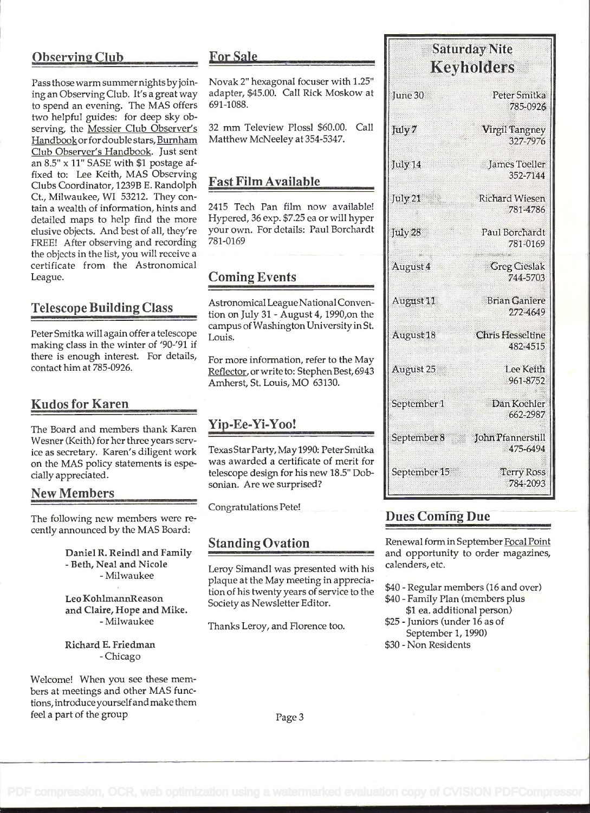### Observing Club For Sale

Pass thosewarm summernights by joining an Observing Club. It's a great way to spend an evening. The MAS offers two helpful guides: for deep sky observing, the Messier Club Observer's Handbook or fordouble stars, Burnham Club Observer's Handbook. Just sent an 8.5" x 11" SASE with \$1 postage affixed to: Lee Keith, MAS Observing Clubs Coordinator, 1239B E. Randolph Ct., Milwaukee, WI 53212. They contain a wealth of information, hints and detailed maps to help find the more elusive objects. And best of all, they're FREE! After observing and recording the objects in the list, you will receive a certificate from the Astronomical League.

### Telescope Building Class

Peter Smitka will again offer a telescope making class in the winter of '90-'91 if there is enough interest. For details, contact him at 785-0926.

### Kudos for Karen

The Board and members thank Karen Wesner (Keith) for her three years service as secretary. Karen's diligent work on the MAS policy statements is especially appreciated.

### New Members

The following new members were recently announced by the MAS Board:

> - Beth, Neal and Nicole - Milwaukee

Leo KohlmannReason and Claire, Hope and Mike. - Milwaukee

Richard E. Friedman - Chicago

Welcome! When you see these members at meetings and other MAS funcfions, introduceyourselfand make them feel a part of the group

Novak 2" hexagonal focuser with 1.25" adapter, \$45.00. Call Rick Moskow at 691-1088.

32 mm Teleview Plossl \$60.00. Call Matthew McNeeley at 354-5347.

### Fast Film Available

2415 Tech Pan film now available! Hypered, 36 exp. \$7.25 ea or will hyper your own. For details: Paul Borchardt 781-0169

# Coming Events

Astronomical League National Convention on July 31 - August 4, 1990,on the campus ofWashington University in St. Louis.

For more information, refer to the May Reflector, or write to: Stephen Best, 6943 Amherst, St. Louis, MO 63130.

### Yip-Ee-Yi-Yoo!

Texas StarParty, May 1990: Peter Smitka was awarded a certificate of merit for telescope design for his new 18.5" Dobsonian. Are we surprised?

Congratulations Pete!

# Daniel R. Reindl and Family Standing Ovation

Leroy Simandi was presented with his plaque at the May meeting in appreciation of his twenty years of service to the Society as Newsletter Editor.

Thanks Leroy, and Florence too.

# **Saturday Nite** . Keyholders

| June 30          | Peter Smitka<br>785-0926            |
|------------------|-------------------------------------|
| July 7           | Virgil Tangney<br>327-7976          |
| July 14          | James Toeller<br>352-7144           |
| July 21          | Richard Wiesen<br>781-4786          |
| $\text{July }28$ | Paul Borchardt<br>781-0169          |
| August 4         | <b>Greg Cieslak</b><br>744-5703     |
| August 11        | <b>Brian Ganiere</b><br>272-4649    |
| August 18        | <b>Chris Hesseltine</b><br>482-4515 |
| <b>August 25</b> | Lee Keith<br>961-8752               |
| September 1      | <b>Dan Koehler</b><br>662-2987      |
| September 8      | John Pfannerstill<br>475-6494       |
| September 15     | <b>Terry Ross</b><br>784-2093       |

### Dues Coming Due

Renewal form in September Focal Point and opportunity to order magazines, calenders, etc.

- \$40 Regular members (16 and over)
- \$40 Family Plan (members plus \$1 ea. additional person)
- \$25 Juniors (under 16 as of September 1, 1990) \$30 - Non Residents